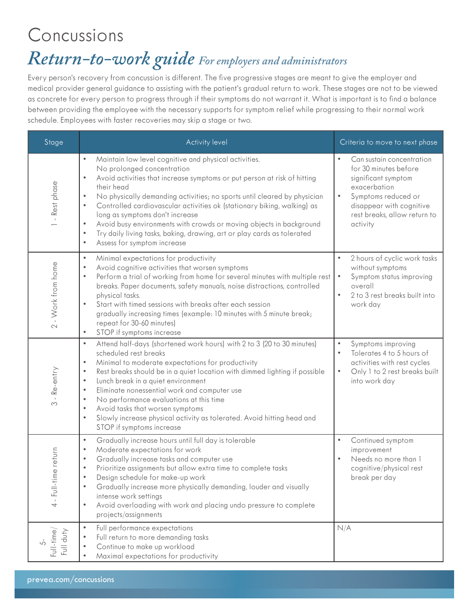### Concussions

# *Return-to-work guide For employers and administrators*

Every person's recovery from concussion is different. The five progressive stages are meant to give the employer and medical provider general guidance to assisting with the patient's gradual return to work. These stages are not to be viewed as concrete for every person to progress through if their symptoms do not warrant it. What is important is to find a balance between providing the employee with the necessary supports for symptom relief while progressing to their normal work schedule. Employees with faster recoveries may skip a stage or two.

| Stage                      | <b>Activity level</b>                                                                                                                                                                                                                                                                                                                                                                                                                                                                                                                                                                                                                               | Criteria to move to next phase                                                                                                                                                                                     |
|----------------------------|-----------------------------------------------------------------------------------------------------------------------------------------------------------------------------------------------------------------------------------------------------------------------------------------------------------------------------------------------------------------------------------------------------------------------------------------------------------------------------------------------------------------------------------------------------------------------------------------------------------------------------------------------------|--------------------------------------------------------------------------------------------------------------------------------------------------------------------------------------------------------------------|
| - Rest phase               | Maintain low level cognitive and physical activities.<br>$\bullet$<br>No prolonged concentration<br>Avoid activities that increase symptoms or put person at risk of hitting<br>$\bullet$<br>their head<br>No physically demanding activities; no sports until cleared by physician<br>$\bullet$<br>Controlled cardiovascular activities ok (stationary biking, walking) as<br>$\bullet$<br>long as symptoms don't increase<br>Avoid busy environments with crowds or moving objects in background<br>$\bullet$<br>Try daily living tasks, baking, drawing, art or play cards as tolerated<br>$\bullet$<br>$\bullet$<br>Assess for symptom increase | Can sustain concentration<br>$\bullet$<br>for 30 minutes before<br>significant symptom<br>exacerbation<br>$\bullet$<br>Symptoms reduced or<br>disappear with cognitive<br>rest breaks, allow return to<br>activity |
| 2 - Work from home         | $\bullet$<br>Minimal expectations for productivity<br>Avoid cognitive activities that worsen symptoms<br>$\bullet$<br>Perform a trial of working from home for several minutes with multiple rest<br>$\bullet$<br>breaks. Paper documents, safety manuals, noise distractions, controlled<br>physical tasks.<br>Start with timed sessions with breaks after each session<br>$\bullet$<br>gradually increasing times (example: 10 minutes with 5 minute break;<br>repeat for 30-60 minutes)<br>STOP if symptoms increase<br>$\bullet$                                                                                                                | 2 hours of cyclic work tasks<br>$\bullet$<br>without symptoms<br>Symptom status improving<br>$\bullet$<br>overall<br>2 to 3 rest breaks built into<br>$\bullet$<br>work day                                        |
| Re-entry<br>$\infty$       | Attend half-days (shortened work hours) with 2 to 3 (20 to 30 minutes)<br>$\bullet$<br>scheduled rest breaks<br>Minimal to moderate expectations for productivity<br>$\bullet$<br>Rest breaks should be in a quiet location with dimmed lighting if possible<br>$\bullet$<br>Lunch break in a quiet environment<br>$\bullet$<br>Eliminate nonessential work and computer use<br>$\bullet$<br>No performance evaluations at this time<br>$\bullet$<br>Avoid tasks that worsen symptoms<br>$\bullet$<br>Slowly increase physical activity as tolerated. Avoid hitting head and<br>$\bullet$<br>STOP if symptoms increase                              | $\bullet$<br>Symptoms improving<br>Tolerates 4 to 5 hours of<br>$\bullet$<br>activities with rest cycles<br>Only 1 to 2 rest breaks built<br>$\bullet$<br>into work day                                            |
| me return<br>Full-til<br>4 | Gradually increase hours until full day is tolerable<br>$\bullet$<br>Moderate expectations for work<br>$\bullet$<br>Gradually increase tasks and computer use<br>$\bullet$<br>Prioritize assignments but allow extra time to complete tasks<br>$\bullet$<br>Desian schedule for make-up work<br>$\bullet$<br>Gradually increase more physically demanding, louder and visually<br>$\bullet$<br>intense work settings<br>Avoid overloading with work and placing undo pressure to complete<br>$\bullet$<br>projects/assignments                                                                                                                      | Continued symptom<br>$\bullet$<br>improvement<br>Needs no more than 1<br>$\bullet$<br>cognitive/physical rest<br>break per day                                                                                     |
| Full-time<br>Full duty     | $\bullet$<br>Full performance expectations<br>Full return to more demanding tasks<br>$\bullet$<br>Continue to make up workload<br>$\bullet$<br>Maximal expectations for productivity<br>$\bullet$                                                                                                                                                                                                                                                                                                                                                                                                                                                   | N/A                                                                                                                                                                                                                |